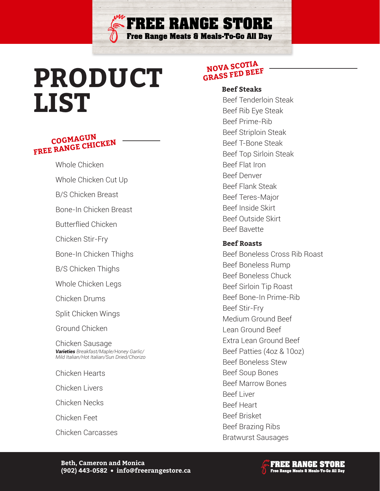

### **COGMAGUN FREE RANGE CHICKEN**

Whole Chicken

Whole Chicken Cut Up

B/S Chicken Breast

Bone-In Chicken Breast

Butterflied Chicken

Chicken Stir-Fry

Bone-In Chicken Thighs

B/S Chicken Thighs

Whole Chicken Legs

Chicken Drums

Split Chicken Wings

Ground Chicken

Chicken Sausage *Varieties Breakfast/Maple/Honey Garlic/ Mild Italian/Hot Italian/Sun Dried/Chorizo*

Chicken Hearts

Chicken Livers

Chicken Necks

Chicken Feet

Chicken Carcasses

#### **NOVA SCOTIA GRASS FED BEEF**

**FREE RANGE STORE** 

**Free Range Meats & Meals-To-Go All Day** 

**Beef Steaks**

Beef Tenderloin Steak Beef Rib Eye Steak Beef Prime-Rib Beef Striploin Steak Beef T-Bone Steak Beef Top Sirloin Steak Beef Flat Iron Beef Denver Beef Flank Steak Beef Teres-Major Beef Inside Skirt Beef Outside Skirt Beef Bavette

#### **Beef Roasts**

Beef Boneless Cross Rib Roast Beef Boneless Rump Beef Boneless Chuck Beef Sirloin Tip Roast Beef Bone-In Prime-Rib Beef Stir-Fry Medium Ground Beef Lean Ground Beef Extra Lean Ground Beef Beef Patties (4oz & 10oz) Beef Boneless Stew Beef Soup Bones Beef Marrow Bones Beef Liver Beef Heart Beef Brisket Beef Brazing Ribs Bratwurst Sausages

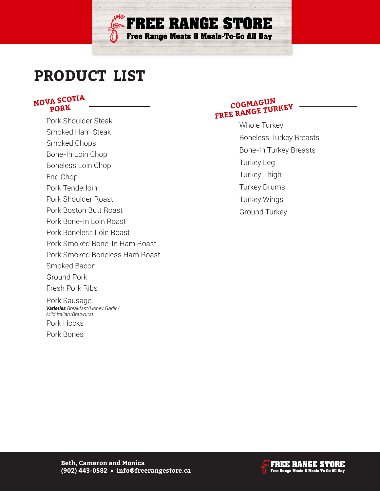

# **PRODUCT LIST**

#### **NOVA SCOTIA PORK**

Pork Shoulder Steak Smoked Ham Steak Smoked Chops Bone-In Loin Chop Boneless Loin Chop End Chop Pork Tenderloin Pork Shoulder Roast Pork Boston Butt Roast Pork Bone-In Loin Roast Pork Boneless Loin Roast Pork Smoked Bone-In Ham Roast Pork Smoked Boneless Ham Roast Smoked Bacon Ground Pork Fresh Pork Ribs Pork Sausage Pork Hocks Pork Bones *Varieties Breakfast/Honey Garlic/ Mild Italian/Bratwurst*

### **COGMAGUN FREE RANGE TURKEY**

Whole Turkey Boneless Turkey Breasts Bone-In Turkey Breasts Turkey Leg Turkey Thigh Turkey Drums Turkey Wings Ground Turkey

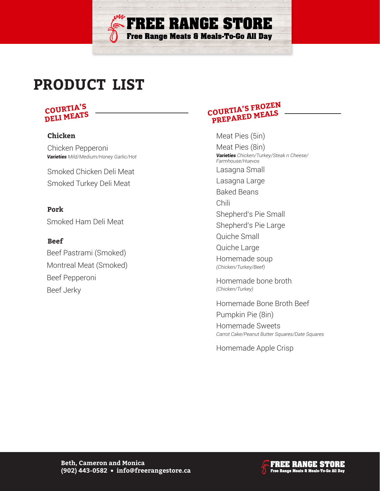# **PRODUCT LIST**

#### **COURTIA'S DELI MEATS**

#### **Chicken**

Chicken Pepperoni *Varieties Mild/Medium/Honey Garlic/Hot*

Smoked Chicken Deli Meat Smoked Turkey Deli Meat

Smoked Ham Deli Meat **Pork**

**Beef**

Beef Pastrami (Smoked) Montreal Meat (Smoked) Beef Pepperoni Beef Jerky

## **COURTIA'S FROZEN PREPARED MEALS**

**FREE RANGE STORE** 

Free Range Meats & Meals-To-Go All Day

Meat Pies (5in)

Meat Pies (8in) Lasagna Small Lasagna Large Baked Beans Chili Shepherd's Pie Small Shepherd's Pie Large Quiche Small Quiche Large Homemade soup *Varieties Chicken/Turkey/Steak n Cheese/ Farmhouse/Huevos*

*(Chicken/Turkey/Beef)*

Homemade bone broth *(Chicken/Turkey)*

Homemade Bone Broth Beef Pumpkin Pie (8in) Homemade Sweets *Carrot Cake/Peanut Butter Squares/Date Squares*

Homemade Apple Crisp